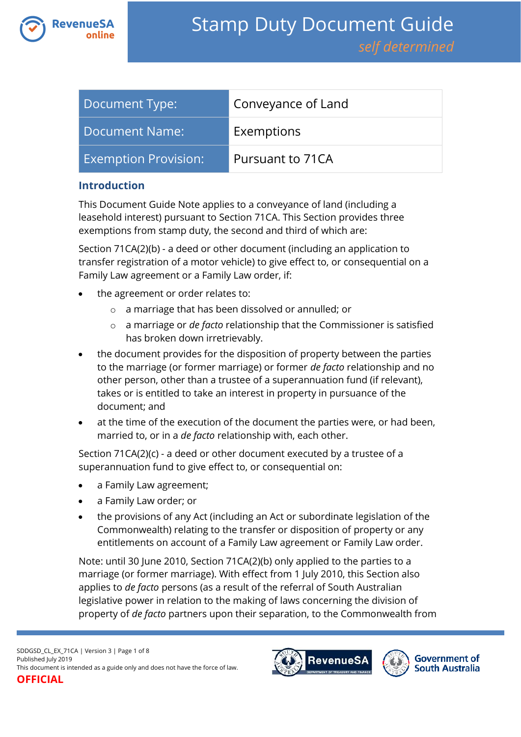

| Document Type:              | Conveyance of Land |
|-----------------------------|--------------------|
| Document Name:              | Exemptions         |
| <b>Exemption Provision:</b> | Pursuant to 71CA   |

### **Introduction**

This Document Guide Note applies to a conveyance of land (including a leasehold interest) pursuant to Section 71CA. This Section provides three exemptions from stamp duty, the second and third of which are:

Section 71CA(2)(b) - a deed or other document (including an application to transfer registration of a motor vehicle) to give effect to, or consequential on a Family Law agreement or a Family Law order, if:

- the agreement or order relates to:
	- o a marriage that has been dissolved or annulled; or
	- o a marriage or *de facto* relationship that the Commissioner is satisfied has broken down irretrievably.
- the document provides for the disposition of property between the parties to the marriage (or former marriage) or former *de facto* relationship and no other person, other than a trustee of a superannuation fund (if relevant), takes or is entitled to take an interest in property in pursuance of the document; and
- at the time of the execution of the document the parties were, or had been, married to, or in a *de facto* relationship with, each other.

Section 71CA(2)(c) - a deed or other document executed by a trustee of a superannuation fund to give effect to, or consequential on:

- a Family Law agreement;
- a Family Law order; or
- the provisions of any Act (including an Act or subordinate legislation of the Commonwealth) relating to the transfer or disposition of property or any entitlements on account of a Family Law agreement or Family Law order.

Note: until 30 June 2010, Section 71CA(2)(b) only applied to the parties to a marriage (or former marriage). With effect from 1 July 2010, this Section also applies to *de facto* persons (as a result of the referral of South Australian legislative power in relation to the making of laws concerning the division of property of *de facto* partners upon their separation, to the Commonwealth from

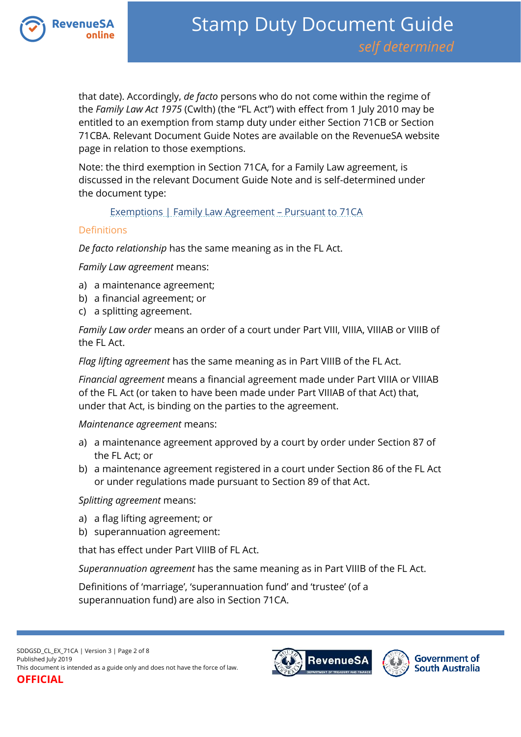

that date). Accordingly, *de facto* persons who do not come within the regime of the *Family Law Act 1975* (Cwlth) (the "FL Act") with effect from 1 July 2010 may be entitled to an exemption from stamp duty under either Section 71CB or Section 71CBA. Relevant Document Guide Notes are available on the RevenueSA website page in relation to those exemptions.

Note: the third exemption in Section 71CA, for a Family Law agreement, is discussed in the relevant Document Guide Note and is self-determined under the document type:

#### [Exemptions | Family Law Agreement](https://www.revenuesa.sa.gov.au/stampduty/stamp-duty-document-guide/self-determined/exemptions/sddgsd_ex_fla71ca) – Pursuant to 71CA

#### Definitions

*De facto relationship* has the same meaning as in the FL Act.

*Family Law agreement* means:

- a) a maintenance agreement;
- b) a financial agreement; or
- c) a splitting agreement.

*Family Law order* means an order of a court under Part VIII, VIIIA, VIIIAB or VIIIB of the FL Act.

*Flag lifting agreement* has the same meaning as in Part VIIIB of the FL Act.

*Financial agreement* means a financial agreement made under Part VIIIA or VIIIAB of the FL Act (or taken to have been made under Part VIIIAB of that Act) that, under that Act, is binding on the parties to the agreement.

*Maintenance agreement* means:

- a) a maintenance agreement approved by a court by order under Section 87 of the FL Act; or
- b) a maintenance agreement registered in a court under Section 86 of the FL Act or under regulations made pursuant to Section 89 of that Act.

*Splitting agreement* means:

- a) a flag lifting agreement; or
- b) superannuation agreement:

that has effect under Part VIIIB of FL Act.

*Superannuation agreement* has the same meaning as in Part VIIIB of the FL Act.

Definitions of 'marriage', 'superannuation fund' and 'trustee' (of a superannuation fund) are also in Section 71CA.

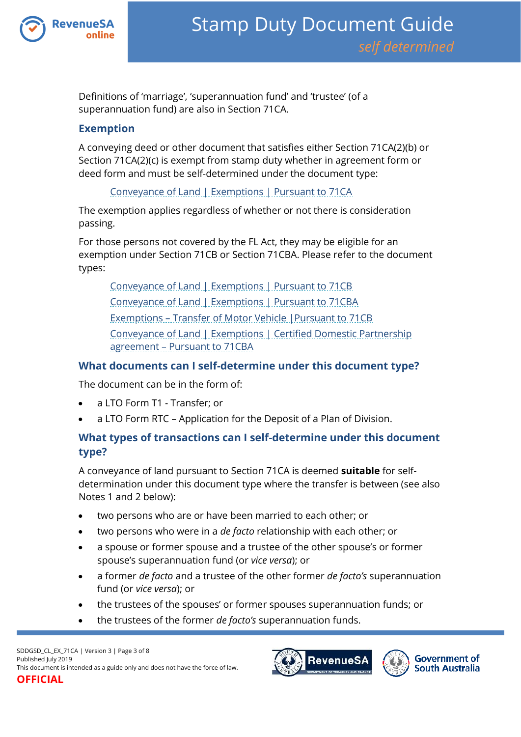

Definitions of 'marriage', 'superannuation fund' and 'trustee' (of a superannuation fund) are also in Section 71CA.

### **Exemption**

A conveying deed or other document that satisfies either Section 71CA(2)(b) or Section 71CA(2)(c) is exempt from stamp duty whether in agreement form or deed form and must be self-determined under the document type:

[Conveyance of Land | Exemptions | Pursuant to 71CA](https://www.revenuesa.sa.gov.au/stampduty/stamp-duty-document-guide/self-determined/conveyance-of-land-exemptions/sddgsd_cl_ex_71ca)

The exemption applies regardless of whether or not there is consideration passing.

For those persons not covered by the FL Act, they may be eligible for an exemption under Section 71CB or Section 71CBA. Please refer to the document types:

[Conveyance of Land | Exemptions | Pursuant to 71CB](https://www.revenuesa.sa.gov.au/stampduty/stamp-duty-document-guide/self-determined/conveyance-of-land-exemptions/sddgsd_cl_ex_71cba) [Conveyance of Land | Exemptions | Pursuant to 71CBA](https://www.revenuesa.sa.gov.au/stampduty/stamp-duty-document-guide/self-determined/conveyance-of-land-exemptions/sddgsd_cl_ex_71cba) Exemptions – [Transfer of Motor Vehicle |Pursuant to 71CB](https://www.revenuesa.sa.gov.au/stampduty/stamp-duty-document-guide/self-determined/exemptions-transfer-of-motor-vehicles/sddgsd_exmv_71cb) [Conveyance of Land | Exemptions | Certified Domestic Partnership](https://www.revenuesa.sa.gov.au/stampduty/stamp-duty-document-guide/self-determined/conveyance-of-land-exemptions/sddgsd_cl_ex_cdpa71cba)  agreement – [Pursuant to 71CBA](https://www.revenuesa.sa.gov.au/stampduty/stamp-duty-document-guide/self-determined/conveyance-of-land-exemptions/sddgsd_cl_ex_cdpa71cba)

### **What documents can I self-determine under this document type?**

The document can be in the form of:

- a LTO Form T1 Transfer; or
- a LTO Form RTC Application for the Deposit of a Plan of Division.

# **What types of transactions can I self-determine under this document type?**

A conveyance of land pursuant to Section 71CA is deemed **suitable** for selfdetermination under this document type where the transfer is between (see also Notes 1 and 2 below):

- two persons who are or have been married to each other; or
- two persons who were in a *de facto* relationship with each other; or
- a spouse or former spouse and a trustee of the other spouse's or former spouse's superannuation fund (or *vice versa*); or
- a former *de facto* and a trustee of the other former *de facto's* superannuation fund (or *vice versa*); or
- the trustees of the spouses' or former spouses superannuation funds; or
- the trustees of the former *de facto's* superannuation funds.



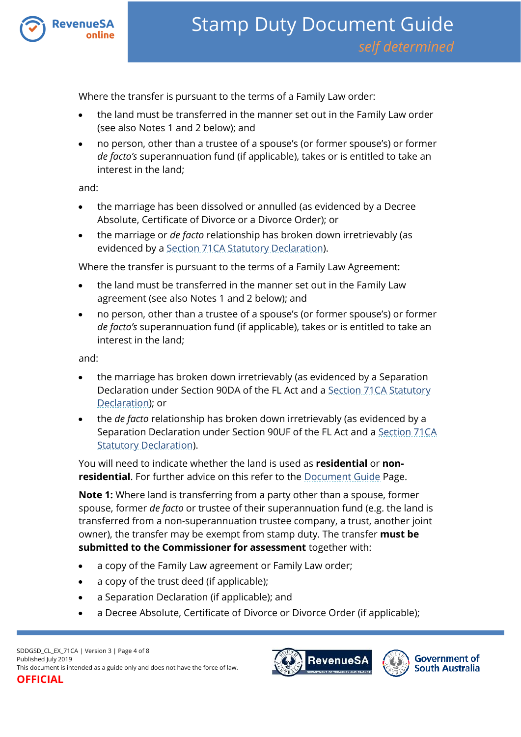

Where the transfer is pursuant to the terms of a Family Law order:

- the land must be transferred in the manner set out in the Family Law order (see also Notes 1 and 2 below); and
- no person, other than a trustee of a spouse's (or former spouse's) or former *de facto's* superannuation fund (if applicable), takes or is entitled to take an interest in the land;

and:

- the marriage has been dissolved or annulled (as evidenced by a Decree Absolute, Certificate of Divorce or a Divorce Order); or
- the marriage or *de facto* relationship has broken down irretrievably (as evidenced by a [Section 71CA Statutory Declaration\)](https://www.revenuesa.sa.gov.au/forms-and-publications/documents/forms/SD_S71CAstatdec.pdf).

Where the transfer is pursuant to the terms of a Family Law Agreement:

- the land must be transferred in the manner set out in the Family Law agreement (see also Notes 1 and 2 below); and
- no person, other than a trustee of a spouse's (or former spouse's) or former *de facto's* superannuation fund (if applicable), takes or is entitled to take an interest in the land;

and:

- the marriage has broken down irretrievably (as evidenced by a Separation Declaration under Section 90DA of the FL Act and a [Section 71CA Statutory](https://www.revenuesa.sa.gov.au/forms-and-publications/documents/forms/SD_S71CAstatdec.pdf)  [Declaration\)](https://www.revenuesa.sa.gov.au/forms-and-publications/documents/forms/SD_S71CAstatdec.pdf); or
- the *de facto* relationship has broken down irretrievably (as evidenced by a Separation Declaration under Section 90UF of the FL Act and a [Section 71CA](https://www.revenuesa.sa.gov.au/forms-and-publications/documents/forms/SD_S71CAstatdec.pdf)  [Statutory Declaration\)](https://www.revenuesa.sa.gov.au/forms-and-publications/documents/forms/SD_S71CAstatdec.pdf).

You will need to indicate whether the land is used as **residential** or **nonresidential**. For further advice on this refer to the **Document Guide Page.** 

**Note 1:** Where land is transferring from a party other than a spouse, former spouse, former *de facto* or trustee of their superannuation fund (e.g. the land is transferred from a non-superannuation trustee company, a trust, another joint owner), the transfer may be exempt from stamp duty. The transfer **must be submitted to the Commissioner for assessment** together with:

- a copy of the Family Law agreement or Family Law order;
- a copy of the trust deed (if applicable);
- a Separation Declaration (if applicable); and
- a Decree Absolute, Certificate of Divorce or Divorce Order (if applicable);

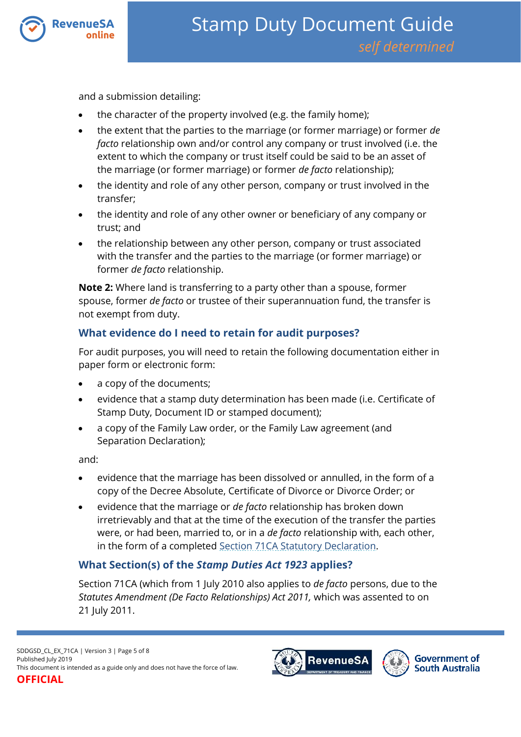

and a submission detailing:

- the character of the property involved (e.g. the family home);
- the extent that the parties to the marriage (or former marriage) or former *de facto* relationship own and/or control any company or trust involved (i.e. the extent to which the company or trust itself could be said to be an asset of the marriage (or former marriage) or former *de facto* relationship);
- the identity and role of any other person, company or trust involved in the transfer;
- the identity and role of any other owner or beneficiary of any company or trust; and
- the relationship between any other person, company or trust associated with the transfer and the parties to the marriage (or former marriage) or former *de facto* relationship.

**Note 2:** Where land is transferring to a party other than a spouse, former spouse, former *de facto* or trustee of their superannuation fund, the transfer is not exempt from duty.

# **What evidence do I need to retain for audit purposes?**

For audit purposes, you will need to retain the following documentation either in paper form or electronic form:

- a copy of the documents;
- evidence that a stamp duty determination has been made (i.e. Certificate of Stamp Duty, Document ID or stamped document);
- a copy of the Family Law order, or the Family Law agreement (and Separation Declaration);

and:

- evidence that the marriage has been dissolved or annulled, in the form of a copy of the Decree Absolute, Certificate of Divorce or Divorce Order; or
- evidence that the marriage or *de facto* relationship has broken down irretrievably and that at the time of the execution of the transfer the parties were, or had been, married to, or in a *de facto* relationship with, each other, in the form of a completed [Section 71CA Statutory Declaration.](https://www.revenuesa.sa.gov.au/forms-and-publications/documents/forms/SD_S71CAstatdec.pdf)

# **What Section(s) of the** *Stamp Duties Act 1923* **applies?**

Section 71CA (which from 1 July 2010 also applies to *de facto* persons, due to the *Statutes Amendment (De Facto Relationships) Act 2011,* which was assented to on 21 July 2011.



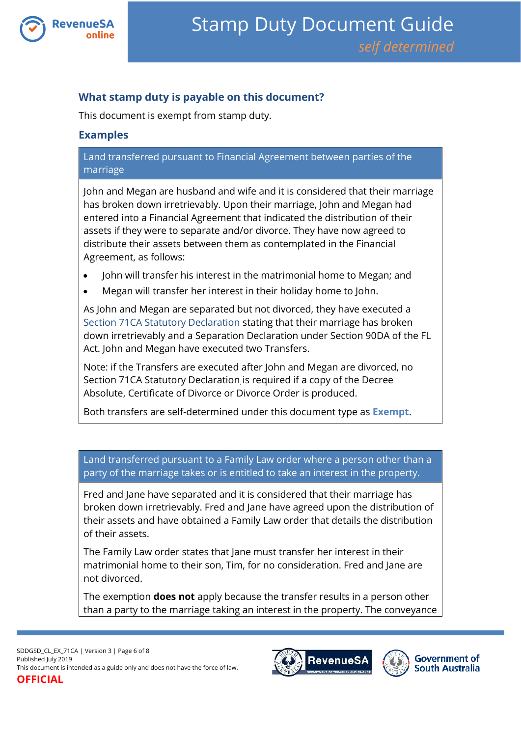

## **What stamp duty is payable on this document?**

This document is exempt from stamp duty.

### **Examples**

### Land transferred pursuant to Financial Agreement between parties of the marriage

John and Megan are husband and wife and it is considered that their marriage has broken down irretrievably. Upon their marriage, John and Megan had entered into a Financial Agreement that indicated the distribution of their assets if they were to separate and/or divorce. They have now agreed to distribute their assets between them as contemplated in the Financial Agreement, as follows:

- John will transfer his interest in the matrimonial home to Megan; and
- Megan will transfer her interest in their holiday home to John.

As John and Megan are separated but not divorced, they have executed a [Section 71CA Statutory Declaration](https://www.revenuesa.sa.gov.au/forms-and-publications/documents/forms/SD_S71CAstatdec.pdf) stating that their marriage has broken down irretrievably and a Separation Declaration under Section 90DA of the FL Act. John and Megan have executed two Transfers.

Note: if the Transfers are executed after John and Megan are divorced, no Section 71CA Statutory Declaration is required if a copy of the Decree Absolute, Certificate of Divorce or Divorce Order is produced.

Both transfers are self-determined under this document type as **Exempt**.

Land transferred pursuant to a Family Law order where a person other than a party of the marriage takes or is entitled to take an interest in the property.

Fred and Jane have separated and it is considered that their marriage has broken down irretrievably. Fred and Jane have agreed upon the distribution of their assets and have obtained a Family Law order that details the distribution of their assets.

The Family Law order states that Jane must transfer her interest in their matrimonial home to their son, Tim, for no consideration. Fred and Jane are not divorced.

The exemption **does not** apply because the transfer results in a person other than a party to the marriage taking an interest in the property. The conveyance

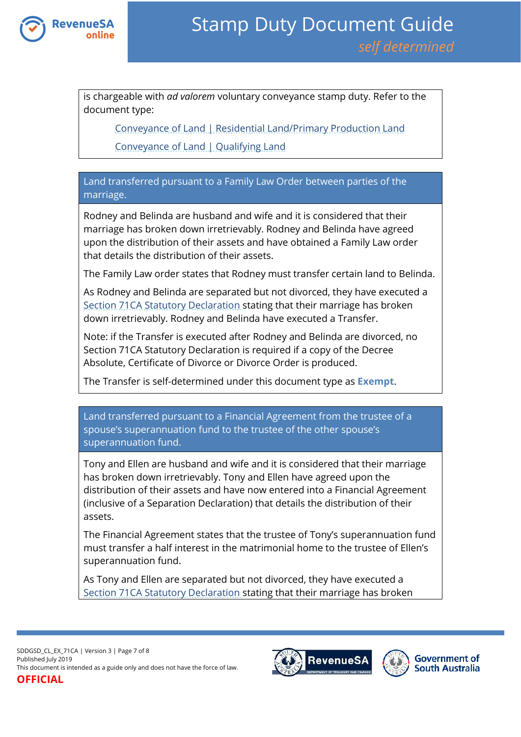

is chargeable with *ad valorem* voluntary conveyance stamp duty. Refer to the document type:

[Conveyance of Land | Residential Land/Primary Production Land](https://www.revenuesa.sa.gov.au/stampduty/stamp-duty-document-guide/self-determined/conveyance-of-land/sddgsd_cl_rpp)

Conveyance [of Land | Qualifying Land](https://www.revenuesa.sa.gov.au/stampduty/stamp-duty-document-guide/self-determined/conveyance-of-land/sddgsd_cl_ql)

Land transferred pursuant to a Family Law Order between parties of the marriage.

Rodney and Belinda are husband and wife and it is considered that their marriage has broken down irretrievably. Rodney and Belinda have agreed upon the distribution of their assets and have obtained a Family Law order that details the distribution of their assets.

The Family Law order states that Rodney must transfer certain land to Belinda.

As Rodney and Belinda are separated but not divorced, they have executed a [Section 71CA Statutory Declaration](https://www.revenuesa.sa.gov.au/forms-and-publications/documents/forms/SD_S71CAstatdec.pdf) stating that their marriage has broken down irretrievably. Rodney and Belinda have executed a Transfer.

Note: if the Transfer is executed after Rodney and Belinda are divorced, no [Section 71CA Statutory Declaration](http://www.revenuesa.sa.gov.au/__data/assets/file/0004/6808/SD_S71CAstatdec.pdf) is required if a copy of the Decree Absolute, Certificate of Divorce or Divorce Order is produced.

The Transfer is self-determined under this document type as **Exempt**.

Land transferred pursuant to a Financial Agreement from the trustee of a spouse's superannuation fund to the trustee of the other spouse's superannuation fund.

Tony and Ellen are husband and wife and it is considered that their marriage has broken down irretrievably. Tony and Ellen have agreed upon the distribution of their assets and have now entered into a Financial Agreement (inclusive of a Separation Declaration) that details the distribution of their assets.

The Financial Agreement states that the trustee of Tony's superannuation fund must transfer a half interest in the matrimonial home to the trustee of Ellen's superannuation fund.

As Tony and Ellen are separated but not divorced, they have executed a [Section 71CA Statutory Declaration](https://www.revenuesa.sa.gov.au/forms-and-publications/documents/forms/SD_S71CAstatdec.pdf) stating that their marriage has broken